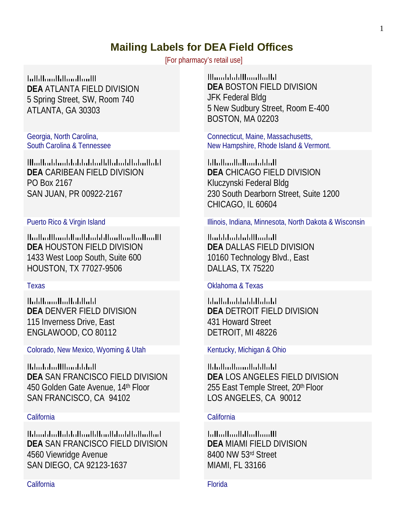# **Mailing Labels for DEA Field Offices**

[For pharmacy's retail use]

**Initilianililianilianili DEA** ATLANTA FIELD DIVISION 5 Spring Street, SW, Room 740 ATLANTA, GA 30303

Georgia, North Carolina, South Carolina & Tennessee

<u>Maallaaldaaldaddaddadlalaaldlaladladd</u> **DEA** CARIBEAN FIELD DIVISION PO Box 2167 SAN JUAN, PR 00922-2167

السيالسالسيالسياناسا باسالسا باستالسالسا **DEA** HOUSTON FIELD DIVISION 1433 West Loop South, Suite 600 HOUSTON, TX 77027-9506

<u>II.ililininilinilinininini</u> **DEA** DENVER FIELD DIVISION 115 Inverness Drive, East ENGLAWOOD, CO 80112

Colorado, New Mexico, Wyoming & Utah Kentucky, Michigan & Ohio

11.1...1..1....1111......1.1.1..11 **DEA** SAN FRANCISCO FIELD DIVISION 450 Golden Gate Avenue, 14th Floor SAN FRANCISCO, CA 94102

Halaaddaalladdadlaadddaaddaaladaadad . **DEA** SAN FRANCISCO FIELD DIVISION 4560 Viewridge Avenue SAN DIEGO, CA 92123-1637

## California Florida

<u>Illumbbobiliumlindidi</u> **DEA** BOSTON FIELD DIVISION JFK Federal Bldg 5 New Sudbury Street, Room E-400 BOSTON, MA 02203

Connecticut, Maine, Massachusetts, New Hampshire, Rhode Island & Vermont.

 $[ . || . , || . , || . , || . , || . , || . , || . , ||$ **DEA** CHICAGO FIELD DIVISION Kluczynski Federal Bldg 230 South Dearborn Street, Suite 1200 CHICAGO, IL 60604

Puerto Rico & Virgin Island Illinois, Indiana, Minnesota, North Dakota & Wisconsin

<u>||...|.|.|...|.|..|.|||....|..||</u> **DEA** DALLAS FIELD DIVISION 10160 Technology Blvd., East DALLAS, TX 75220

### Texas Oklahoma & Texas

**Idullatuddulddululul**d **DEA** DETROIT FIELD DIVISION 431 Howard Street DETROIT, MI 48226

**Material and and the film of the United States DEA** LOS ANGELES FIELD DIVISION 255 East Temple Street, 20th Floor LOS ANGELES, CA 90012

### California California

**Influitfuntfillintfilmitt DEA** MIAMI FIELD DIVISION 8400 NW 53rd Street MIAMI, FL 33166